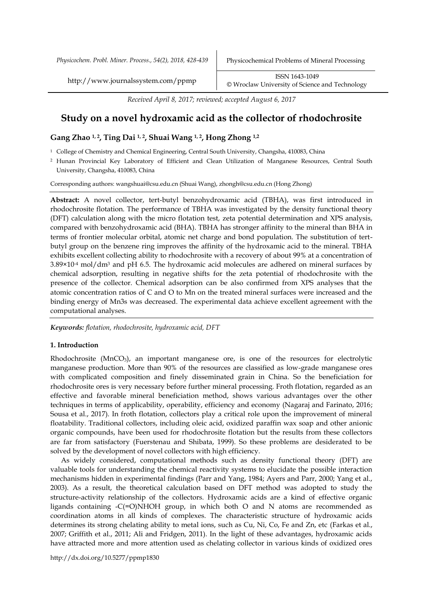http://www.journalssystem.com/ppmp ISSN 1643-1049 [©](http://www.minproc.pwr.wroc.pl/journal/) Wroclaw University of Science and Technology

*Received April 8, 2017; reviewed; accepted August 6, 2017*

# **Study on a novel hydroxamic acid as the collector of rhodochrosite**

# **Gang Zhao 1, 2, Ting Dai 1, 2, Shuai Wang 1, 2, Hong Zhong 1,2**

<sup>1</sup> College of Chemistry and Chemical Engineering, Central South University, Changsha, 410083, China

<sup>2</sup> Hunan Provincial Key Laboratory of Efficient and Clean Utilization of Manganese Resources, Central South University, Changsha, 410083, China

Corresponding authors: wangshuai@csu.edu.cn (Shuai Wang), zhongh@csu.edu.cn (Hong Zhong)

**Abstract:** A novel collector, tert-butyl benzohydroxamic acid (TBHA), was first introduced in rhodochrosite flotation. The performance of TBHA was investigated by the density functional theory (DFT) calculation along with the micro flotation test, zeta potential determination and XPS analysis, compared with benzohydroxamic acid (BHA). TBHA has stronger affinity to the mineral than BHA in terms of frontier molecular orbital, atomic net charge and bond population. The substitution of tertbutyl group on the benzene ring improves the affinity of the hydroxamic acid to the mineral. TBHA exhibits excellent collecting ability to rhodochrosite with a recovery of about 99% at a concentration of 3.89×10-4 mol/dm<sup>3</sup> and pH 6.5. The hydroxamic acid molecules are adhered on mineral surfaces by chemical adsorption, resulting in negative shifts for the zeta potential of rhodochrosite with the presence of the collector. Chemical adsorption can be also confirmed from XPS analyses that the atomic concentration ratios of C and O to Mn on the treated mineral surfaces were increased and the binding energy of Mn3s was decreased. The experimental data achieve excellent agreement with the computational analyses.

*Keywords: flotation, rhodochrosite, hydroxamic acid, DFT*

# **1. Introduction**

Rhodochrosite (MnCO3), an important manganese ore, is one of the resources for electrolytic manganese production. More than 90% of the resources are classified as low-grade manganese ores with complicated composition and finely disseminated grain in China. So the beneficiation for rhodochrosite ores is very necessary before further mineral processing. Froth flotation, regarded as an effective and favorable mineral beneficiation method, shows various advantages over the other techniques in terms of applicability, operability, efficiency and economy (Nagaraj and Farinato, 2016; Sousa et al., 2017). In froth flotation, collectors play a critical role upon the improvement of mineral floatability. Traditional collectors, including oleic acid, oxidized paraffin wax soap and other anionic organic compounds, have been used for rhodochrosite flotation but the results from these collectors are far from satisfactory (Fuerstenau and Shibata, 1999). So these problems are desiderated to be solved by the development of novel collectors with high efficiency.

As widely considered, computational methods such as density functional theory (DFT) are valuable tools for understanding the chemical reactivity systems to elucidate the possible interaction mechanisms hidden in experimental findings (Parr and Yang, 1984; Ayers and Parr, 2000; Yang et al., 2003). As a result, the theoretical calculation based on DFT method was adopted to study the structure-activity relationship of the collectors. Hydroxamic acids are a kind of effective organic ligands containing  $-C(=O)NHOH$  group, in which both O and N atoms are recommended as coordination atoms in all kinds of complexes. The characteristic structure of hydroxamic acids determines its strong chelating ability to metal ions, such as Cu, Ni, Co, Fe and Zn, etc (Farkas et al., 2007; Griffith et al., 2011; Ali and Fridgen, 2011). In the light of these advantages, hydroxamic acids have attracted more and more attention used as chelating collector in various kinds of oxidized ores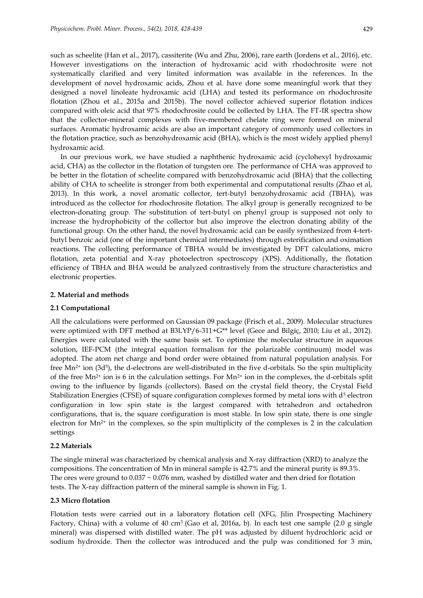such as scheelite (Han et al., 2017), cassiterite (Wu and Zhu, 2006), rare earth (Jordens et al., 2016), etc. However investigations on the interaction of hydroxamic acid with rhodochrosite were not systematically clarified and very limited information was available in the references. In the development of novel hydroxamic acids, Zhou et al. have done some meaningful work that they designed a novel linoleate hydroxamic acid (LHA) and tested its performance on rhodochrosite flotation (Zhou et al., 2015a and 2015b). The novel collector achieved superior flotation indices compared with oleic acid that 97% rhodochrosite could be collected by LHA. The FT-IR spectra show that the collector-mineral complexes with five-membered chelate ring were formed on mineral surfaces. Aromatic hydroxamic acids are also an important category of commonly used collectors in the flotation practice, such as benzohydroxamic acid (BHA), which is the most widely applied phenyl hydroxamic acid.

In our previous work, we have studied a naphthenic hydroxamic acid (cyclohexyl hydroxamic acid, CHA) as the collector in the flotation of tungsten ore. The performance of CHA was approved to be better in the flotation of scheelite compared with benzohydroxamic acid (BHA) that the collecting ability of CHA to scheelite is stronger from both experimental and computational results (Zhao et al, 2013). In this work, a novel aromatic collector, tert-butyl benzohydroxamic acid (TBHA), was introduced as the collector for rhodochrosite flotation. The alkyl group is generally recognized to be electron-donating group. The substitution of tert-butyl on phenyl group is supposed not only to increase the hydrophobicity of the collector but also improve the electron donating ability of the functional group. On the other hand, the novel hydroxamic acid can be easily synthesized from 4-tertbutyl benzoic acid (one of the important chemical intermediates) through esterification and oximation reactions. The collecting performance of TBHA would be investigated by DFT calculations, micro flotation, zeta potential and X-ray photoelectron spectroscopy (XPS). Additionally, the flotation efficiency of TBHA and BHA would be analyzed contrastively from the structure characteristics and electronic properties.

#### **2. Material and methods**

### **2.1 Computational**

All the calculations were performed on Gaussian 09 package (Frisch et al., 2009). Molecular structures were optimized with DFT method at B3LYP/6-311+G\*\* level (Gece and Bilgiç, 2010; Liu et al., 2012). Energies were calculated with the same basis set. To optimize the molecular structure in aqueous solution, IEF-PCM (the integral equation formalism for the polarizable continuum) model was adopted. The atom net charge and bond order were obtained from natural population analysis. For free Mn<sup>2+</sup> ion (3d<sup>5</sup>), the d-electrons are well-distributed in the five d-orbitals. So the spin multiplicity of the free  $Mn^{2+}$  ion is 6 in the calculation settings. For  $Mn^{2+}$  ion in the complexes, the d-orbitals split owing to the influence by ligands (collectors). Based on the crystal field theory, the Crystal Field Stabilization Energies (CFSE) of square configuration complexes formed by metal ions with  $d<sup>5</sup>$  electron configuration in low spin state is the largest compared with tetrahedron and octahedron configurations, that is, the square configuration is most stable. In low spin state, there is one single electron for Mn<sup>2+</sup> in the complexes, so the spin multiplicity of the complexes is 2 in the calculation settings

# **2.2 Materials**

The single mineral was characterized by chemical analysis and X-ray diffraction (XRD) to analyze the compositions. The concentration of Mn in mineral sample is 42.7% and the mineral purity is 89.3%. The ores were ground to  $0.037 \sim 0.076$  mm, washed by distilled water and then dried for flotation tests. The X-ray diffraction pattern of the mineral sample is shown in Fig. 1.

#### **2.3 Micro flotation**

Flotation tests were carried out in a laboratory flotation cell (XFG, Jilin Prospecting Machinery Factory, China) with a volume of 40 cm<sup>3</sup> (Gao et al, 2016a, b). In each test one sample (2.0 g single mineral) was dispersed with distilled water. The pH was adjusted by diluent hydrochloric acid or sodium hydroxide. Then the collector was introduced and the pulp was conditioned for 3 min,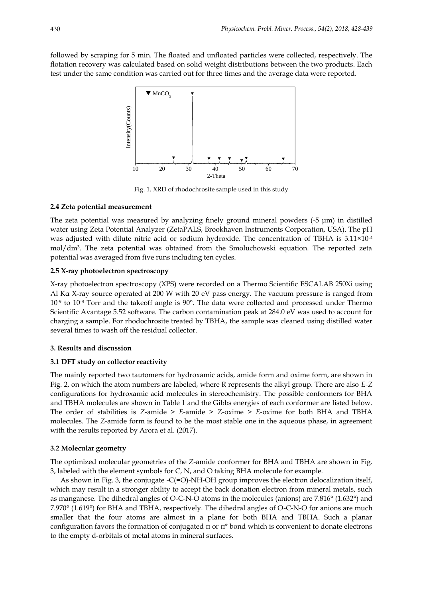followed by scraping for 5 min. The floated and unfloated particles were collected, respectively. The flotation recovery was calculated based on solid weight distributions between the two products. Each test under the same condition was carried out for three times and the average data were reported.



Fig. 1. XRD of rhodochrosite sample used in this study

### **2.4 Zeta potential measurement**

The zeta potential was measured by analyzing finely ground mineral powders (-5 μm) in distilled water using Zeta Potential Analyzer (ZetaPALS, Brookhaven Instruments Corporation, USA). The pH was adjusted with dilute nitric acid or sodium hydroxide. The concentration of TBHA is 3.11×10<sup>-4</sup> mol/dm<sup>3</sup> . The zeta potential was obtained from the Smoluchowski equation. The reported zeta potential was averaged from five runs including ten cycles.

# **2.5 X-ray photoelectron spectroscopy**

X-ray photoelectron spectroscopy (XPS) were recorded on a Thermo Scientific ESCALAB 250Xi using Al Kα X-ray source operated at 200 W with 20 eV pass energy. The vacuum pressure is ranged from 10<sup>-9</sup> to 10<sup>-8</sup> Torr and the takeoff angle is 90<sup>°</sup>. The data were collected and processed under Thermo Scientific Avantage 5.52 software. The carbon contamination peak at 284.0 eV was used to account for charging a sample. For rhodochrosite treated by TBHA, the sample was cleaned using distilled water several times to wash off the residual collector.

#### **3. Results and discussion**

#### **3.1 DFT study on collector reactivity**

The mainly reported two tautomers for hydroxamic acids, amide form and oxime form, are shown in Fig. 2, on which the atom numbers are labeled, where R represents the alkyl group. There are also *E-Z* configurations for hydroxamic acid molecules in stereochemistry. The possible conformers for BHA and TBHA molecules are shown in Table 1 and the Gibbs energies of each conformer are listed below. The order of stabilities is *Z*-amide > *E*-amide > *Z*-oxime > *E*-oxime for both BHA and TBHA molecules. The *Z*-amide form is found to be the most stable one in the aqueous phase, in agreement with the results reported by Arora et al. (2017).

#### **3.2 Molecular geometry**

The optimized molecular geometries of the *Z*-amide conformer for BHA and TBHA are shown in Fig. 3, labeled with the element symbols for C, N, and O taking BHA molecule for example.

As shown in Fig. 3, the conjugate  $-C(=O)$ -NH-OH group improves the electron delocalization itself, which may result in a stronger ability to accept the back donation electron from mineral metals, such as manganese. The dihedral angles of O-C-N-O atoms in the molecules (anions) are 7.816° (1.632°) and 7.970° (1.619°) for BHA and TBHA, respectively. The dihedral angles of O-C-N-O for anions are much smaller that the four atoms are almost in a plane for both BHA and TBHA. Such a planar configuration favors the formation of conjugated π or π\* bond which is convenient to donate electrons to the empty d-orbitals of metal atoms in mineral surfaces.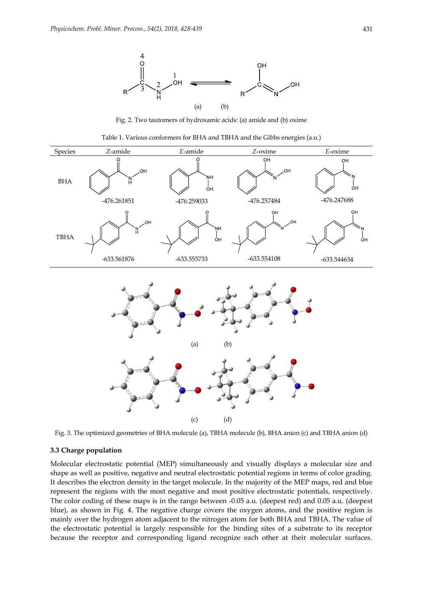

Fig. 2. Two tautomers of hydroxamic acids: (a) amide and (b) oxime



Fig. 3. The optimized geometries of BHA molecule (a), TBHA molecule (b), BHA anion (c) and TBHA anion (d)

# **3.3 Charge population**

Molecular electrostatic potential (MEP) simultaneously and visually displays a molecular size and shape as well as positive, negative and neutral electrostatic potential regions in terms of color grading. It describes the electron density in the target molecule. In the majority of the MEP maps, red and blue represent the regions with the most negative and most positive electrostatic potentials, respectively. The color coding of these maps is in the range between -0.05 a.u. (deepest red) and 0.05 a.u. (deepest blue), as shown in Fig. 4. The negative charge covers the oxygen atoms, and the positive region is mainly over the hydrogen atom adjacent to the nitrogen atom for both BHA and TBHA. The value of the electrostatic potential is largely responsible for the binding sites of a substrate to its receptor because the receptor and corresponding ligand recognize each other at their molecular surfaces.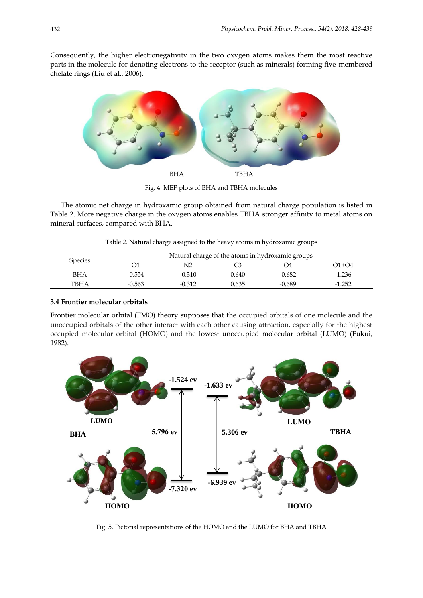Consequently, the higher electronegativity in the two oxygen atoms makes them the most reactive parts in the molecule for denoting electrons to the receptor (such as minerals) forming five-membered chelate rings (Liu et al., 2006).



Fig. 4. MEP plots of BHA and TBHA molecules

The atomic net charge in hydroxamic group obtained from natural charge population is listed in Table 2. More negative charge in the oxygen atoms enables TBHA stronger affinity to metal atoms on mineral surfaces, compared with BHA.

Table 2. Natural charge assigned to the heavy atoms in hydroxamic groups

| <b>Species</b> | Natural charge of the atoms in hydroxamic groups |          |       |          |          |  |
|----------------|--------------------------------------------------|----------|-------|----------|----------|--|
|                |                                                  | N2       |       | - 14     | O1+O4    |  |
| BHA            | $-0.554$                                         | $-0.310$ | 0.640 | $-0.682$ | $-1.236$ |  |
| TBHA           | $-0.563$                                         | $-0.312$ | 0.635 | $-0.689$ | $-1.252$ |  |

# **3.4 Frontier molecular orbitals**

Frontier molecular orbital (FMO) theory supposes that the occupied orbitals of one molecule and the unoccupied orbitals of the other interact with each other causing attraction, especially for the highest occupied molecular orbital (HOMO) and the lowest unoccupied molecular orbital (LUMO) (Fukui, 1982).



Fig. 5. Pictorial representations of the HOMO and the LUMO for BHA and TBHA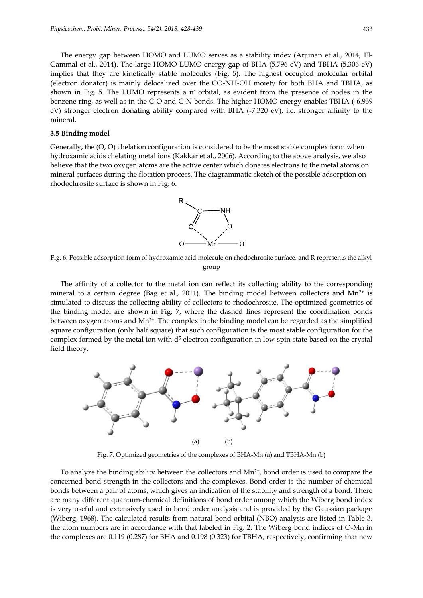The energy gap between HOMO and LUMO serves as a stability index (Arjunan et al., 2014; El-Gammal et al., 2014). The large HOMO-LUMO energy gap of BHA (5.796 eV) and TBHA (5.306 eV) implies that they are kinetically stable molecules (Fig. 5). The highest occupied molecular orbital (electron donator) is mainly delocalized over the CO-NH-OH moiety for both BHA and TBHA, as shown in Fig. 5. The LUMO represents a  $\pi^*$  orbital, as evident from the presence of nodes in the benzene ring, as well as in the C-O and C-N bonds. The higher HOMO energy enables TBHA (-6.939 eV) stronger electron donating ability compared with BHA (-7.320 eV), i.e. stronger affinity to the mineral.

# **3.5 Binding model**

Generally, the (O, O) chelation configuration is considered to be the most stable complex form when hydroxamic acids chelating metal ions (Kakkar et al., 2006). According to the above analysis, we also believe that the two oxygen atoms are the active center which donates electrons to the metal atoms on mineral surfaces during the flotation process. The diagrammatic sketch of the possible adsorption on rhodochrosite surface is shown in Fig. 6.



Fig. 6. Possible adsorption form of hydroxamic acid molecule on rhodochrosite surface, and R represents the alkyl group

The affinity of a collector to the metal ion can reflect its collecting ability to the corresponding mineral to a certain degree (Bag et al., 2011). The binding model between collectors and  $Mn^{2+}$  is simulated to discuss the collecting ability of collectors to rhodochrosite. The optimized geometries of the binding model are shown in Fig. 7, where the dashed lines represent the coordination bonds between oxygen atoms and Mn<sup>2+</sup>. The complex in the binding model can be regarded as the simplified square configuration (only half square) that such configuration is the most stable configuration for the complex formed by the metal ion with  $d<sup>5</sup>$  electron configuration in low spin state based on the crystal field theory.



Fig. 7. Optimized geometries of the complexes of BHA-Mn (a) and TBHA-Mn (b)

To analyze the binding ability between the collectors and  $Mn^{2+}$ , bond order is used to compare the concerned bond strength in the collectors and the complexes. Bond order is the number of chemical bonds between a pair of atoms, which gives an indication of the stability and strength of a bond. There are many different quantum-chemical definitions of bond order among which the Wiberg bond index is very useful and extensively used in bond order analysis and is provided by the Gaussian package (Wiberg, 1968). The calculated results from natural bond orbital (NBO) analysis are listed in Table 3, the atom numbers are in accordance with that labeled in Fig. 2. The Wiberg bond indices of O-Mn in the complexes are 0.119 (0.287) for BHA and 0.198 (0.323) for TBHA, respectively, confirming that new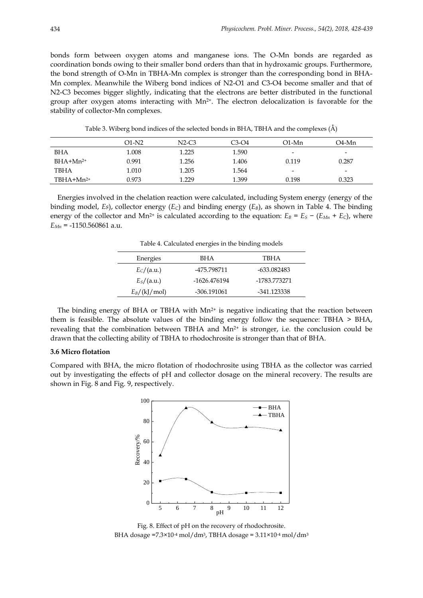bonds form between oxygen atoms and manganese ions. The O-Mn bonds are regarded as coordination bonds owing to their smaller bond orders than that in hydroxamic groups. Furthermore, the bond strength of O-Mn in TBHA-Mn complex is stronger than the corresponding bond in BHA-Mn complex. Meanwhile the Wiberg bond indices of N2-O1 and C3-O4 become smaller and that of N2-C3 becomes bigger slightly, indicating that the electrons are better distributed in the functional group after oxygen atoms interacting with  $Mn^{2+}$ . The electron delocalization is favorable for the stability of collector-Mn complexes.

|                | $O1-N2$ | $N2-C3$ | $C3-O4$ | O1-Mn                    | O4-Mn                    |
|----------------|---------|---------|---------|--------------------------|--------------------------|
| <b>BHA</b>     | 1.008   | 1.225   | 1.590   | $\overline{\phantom{a}}$ | $\overline{\phantom{0}}$ |
| $BHA+Mn^{2+}$  | 0.991   | 1.256   | 1.406   | 0.119                    | 0.287                    |
| TBHA           | 1.010   | 1.205   | 1.564   | $\overline{\phantom{a}}$ | -                        |
| $TBHA+Mn^{2+}$ | 0.973   | 1.229   | 1.399   | 0.198                    | 0.323                    |

Table 3. Wiberg bond indices of the selected bonds in BHA, TBHA and the complexes (Å)

Energies involved in the chelation reaction were calculated, including System energy (energy of the binding model, *Es*), collector energy (*EC*) and binding energy (*EB*), as shown in Table 4. The binding energy of the collector and Mn<sup>2+</sup> is calculated according to the equation:  $E_B = E_S - (E_{Mn} + E_C)$ , where *EMn* = -1150.560861 a.u.

Table 4. Calculated energies in the binding models

| Energies       | BHA          | TBHA         |  |  |
|----------------|--------------|--------------|--|--|
| $E_C/(a.u.)$   | -475.798711  | -633.082483  |  |  |
| $E_S/(a.u.)$   | -1626.476194 | -1783.773271 |  |  |
| $E_B/(kJ/mol)$ | -306.191061  | -341.123338  |  |  |

The binding energy of BHA or TBHA with  $Mn^{2+}$  is negative indicating that the reaction between them is feasible. The absolute values of the binding energy follow the sequence: TBHA > BHA, revealing that the combination between TBHA and  $Mn^{2+}$  is stronger, i.e. the conclusion could be drawn that the collecting ability of TBHA to rhodochrosite is stronger than that of BHA.

# **3.6 Micro flotation**

Compared with BHA, the micro flotation of rhodochrosite using TBHA as the collector was carried out by investigating the effects of pH and collector dosage on the mineral recovery. The results are shown in Fig. 8 and Fig. 9, respectively.



Fig. 8. Effect of pH on the recovery of rhodochrosite. BHA dosage =7.3×10-4 mol/dm<sup>3</sup>, TBHA dosage =  $3.11 \times 10^{-4}$  mol/dm<sup>3</sup>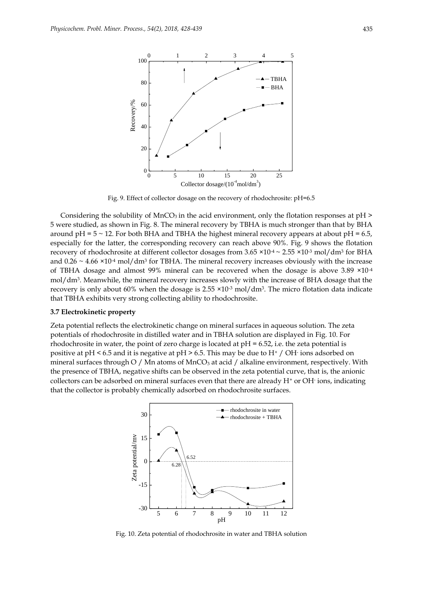

Fig. 9. Effect of collector dosage on the recovery of rhodochrosite: pH=6.5

Considering the solubility of  $MnCO<sub>3</sub>$  in the acid environment, only the flotation responses at  $pH >$ 5 were studied, as shown in Fig. 8. The mineral recovery by TBHA is much stronger than that by BHA around  $pH = 5 \sim 12$ . For both BHA and TBHA the highest mineral recovery appears at about  $pH = 6.5$ , especially for the latter, the corresponding recovery can reach above 90%. Fig. 9 shows the flotation recovery of rhodochrosite at different collector dosages from 3.65 ×10<sup>-4</sup> ~ 2.55 ×10<sup>-3</sup> mol/dm<sup>3</sup> for BHA and 0.26  $\sim$  4.66  $\times$ 10<sup>-4</sup> mol/dm<sup>3</sup> for TBHA. The mineral recovery increases obviously with the increase of TBHA dosage and almost 99% mineral can be recovered when the dosage is above 3.89 ×10-4 mol/dm<sup>3</sup> . Meanwhile, the mineral recovery increases slowly with the increase of BHA dosage that the recovery is only about 60% when the dosage is 2.55 ×10<sup>.3</sup> mol/dm<sup>3</sup>. The micro flotation data indicate that TBHA exhibits very strong collecting ability to rhodochrosite.

#### **3.7 Electrokinetic property**

Zeta potential reflects the electrokinetic change on mineral surfaces in aqueous solution. The zeta potentials of rhodochrosite in distilled water and in TBHA solution are displayed in Fig. 10. For rhodochrosite in water, the point of zero charge is located at  $pH = 6.52$ , i.e. the zeta potential is positive at pH < 6.5 and it is negative at pH > 6.5. This may be due to H<sup>+</sup> / OH-ions adsorbed on mineral surfaces through O / Mn atoms of  $MnCO<sub>3</sub>$  at acid / alkaline environment, respectively. With the presence of TBHA, negative shifts can be observed in the zeta potential curve, that is, the anionic collectors can be adsorbed on mineral surfaces even that there are already H<sup>+</sup> or OH-ions, indicating that the collector is probably chemically adsorbed on rhodochrosite surfaces.



Fig. 10. Zeta potential of rhodochrosite in water and TBHA solution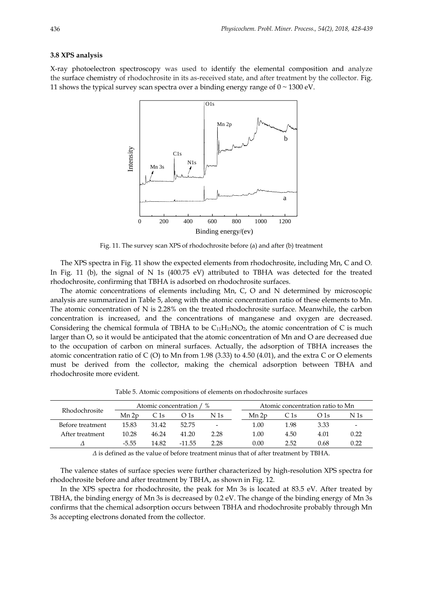#### **3.8 XPS analysis**

X-ray photoelectron spectroscopy was used to identify the elemental composition and analyze the surface chemistry of rhodochrosite in its as-received state, and after treatment by the collector. Fig. 11 shows the typical survey scan spectra over a binding energy range of  $0 \sim 1300 \text{ eV}$ .



Fig. 11. The survey scan XPS of rhodochrosite before (a) and after (b) treatment

The XPS spectra in Fig. 11 show the expected elements from rhodochrosite, including Mn, C and O. In Fig. 11 (b), the signal of N 1s (400.75 eV) attributed to TBHA was detected for the treated rhodochrosite, confirming that TBHA is adsorbed on rhodochrosite surfaces.

The atomic concentrations of elements including Mn, C, O and N determined by microscopic analysis are summarized in Table 5, along with the atomic concentration ratio of these elements to Mn. The atomic concentration of N is 2.28% on the treated rhodochrosite surface. Meanwhile, the carbon concentration is increased, and the concentrations of manganese and oxygen are decreased. Considering the chemical formula of TBHA to be  $C_{11}H_{15}NO_2$ , the atomic concentration of C is much larger than O, so it would be anticipated that the atomic concentration of Mn and O are decreased due to the occupation of carbon on mineral surfaces. Actually, the adsorption of TBHA increases the atomic concentration ratio of  $C(O)$  to Mn from 1.98 (3.33) to 4.50 (4.01), and the extra C or O elements must be derived from the collector, making the chemical adsorption between TBHA and rhodochrosite more evident.

| Rhodochrosite    | $\%$<br>Atomic concentration / |       |          |                          | Atomic concentration ratio to Mn |      |      |      |
|------------------|--------------------------------|-------|----------|--------------------------|----------------------------------|------|------|------|
|                  | Mn 2p                          | C 1s  | O 1s     | N 1s                     | Mn 2p                            | C 1s | O 1s | N 1s |
| Before treatment | 15.83                          | 31.42 | 52.75    | $\overline{\phantom{a}}$ | 1.00                             | 1.98 | 3.33 | -    |
| After treatment  | 10.28                          | 46.24 | 41.20    | 2.28                     | 1.00                             | 4.50 | 4.01 | 0.22 |
|                  | -5.55                          | 14.82 | $-11.55$ | 2.28                     | 0.00                             | 2.52 | 0.68 | 0.22 |

Table 5. Atomic compositions of elements on rhodochrosite surfaces

*Δ* is defined as the value of before treatment minus that of after treatment by TBHA.

The valence states of surface species were further characterized by high-resolution XPS spectra for rhodochrosite before and after treatment by TBHA, as shown in Fig. 12.

In the XPS spectra for rhodochrosite, the peak for Mn 3s is located at 83.5 eV. After treated by TBHA, the binding energy of Mn 3s is decreased by 0.2 eV. The change of the binding energy of Mn 3s confirms that the chemical adsorption occurs between TBHA and rhodochrosite probably through Mn 3s accepting electrons donated from the collector.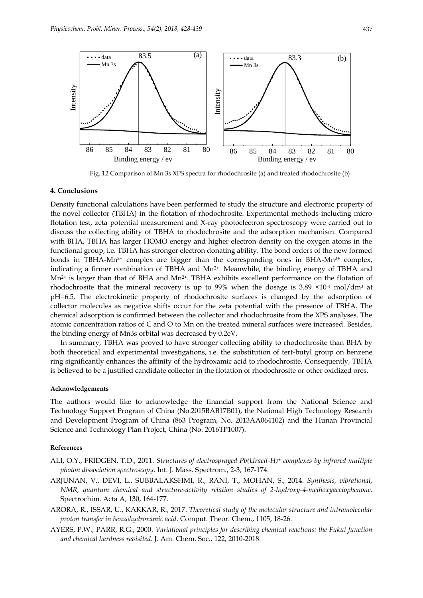

Fig. 12 Comparison of Mn 3s XPS spectra for rhodochrosite (a) and treated rhodochrosite (b)

#### **4. Conclusions**

Density functional calculations have been performed to study the structure and electronic property of the novel collector (TBHA) in the flotation of rhodochrosite. Experimental methods including micro flotation test, zeta potential measurement and X-ray photoelectron spectroscopy were carried out to discuss the collecting ability of TBHA to rhodochrosite and the adsorption mechanism. Compared with BHA, TBHA has larger HOMO energy and higher electron density on the oxygen atoms in the functional group, i.e. TBHA has stronger electron donating ability. The bond orders of the new formed bonds in TBHA-Mn<sup>2+</sup> complex are bigger than the corresponding ones in BHA-Mn<sup>2+</sup> complex, indicating a firmer combination of TBHA and  $Mn^{2+}$ . Meanwhile, the binding energy of TBHA and  $Mn^{2+}$  is larger than that of BHA and  $Mn^{2+}$ . TBHA exhibits excellent performance on the flotation of rhodochrosite that the mineral recovery is up to 99% when the dosage is 3.89  $\times$ 10<sup>-4</sup> mol/dm<sup>3</sup> at pH=6.5. The electrokinetic property of rhodochrosite surfaces is changed by the adsorption of collector molecules as negative shifts occur for the zeta potential with the presence of TBHA. The chemical adsorption is confirmed between the collector and rhodochrosite from the XPS analyses. The atomic concentration ratios of C and O to Mn on the treated mineral surfaces were increased. Besides, the binding energy of Mn3s orbital was decreased by 0.2eV.

In summary, TBHA was proved to have stronger collecting ability to rhodochrosite than BHA by both theoretical and experimental investigations, i.e. the substitution of tert-butyl group on benzene ring significantly enhances the affinity of the hydroxamic acid to rhodochrosite. Consequently, TBHA is believed to be a justified candidate collector in the flotation of rhodochrosite or other oxidized ores.

#### **Acknowledgements**

The authors would like to acknowledge the financial support from the National Science and Technology Support Program of China (No.2015BAB17B01), the National High Technology Research and Development Program of China (863 Program, No. 2013AA064102) and the Hunan Provincial Science and Technology Plan Project, China (No. 2016TP1007).

#### **References**

- ALI, O.Y., FRIDGEN, T.D., 2011. *Structures of electrosprayed Pb(Uracil-H)<sup>+</sup> complexes by infrared multiple photon dissociation spectroscopy*. Int. J. Mass. Spectrom., 2-3, 167-174.
- ARJUNAN, V., DEVI, L., SUBBALAKSHMI, R., RANI, T., MOHAN, S., 2014. *Synthesis, vibrational, NMR, quantum chemical and structure-activity relation studies of 2-hydroxy-4-methoxyacetophenone*. Spectrochim. Acta A, 130, 164-177.
- ARORA, R., ISSAR, U., KAKKAR, R., 2017. *Theoretical study of the molecular structure and intramolecular proton transfer in benzohydroxamic acid*. Comput. Theor. Chem., 1105, 18-26.
- AYERS, P.W., PARR, R.G., 2000. *Variational principles for describing chemical reactions: the Fukui function and chemical hardness revisited*. J. Am. Chem. Soc., 122, 2010-2018.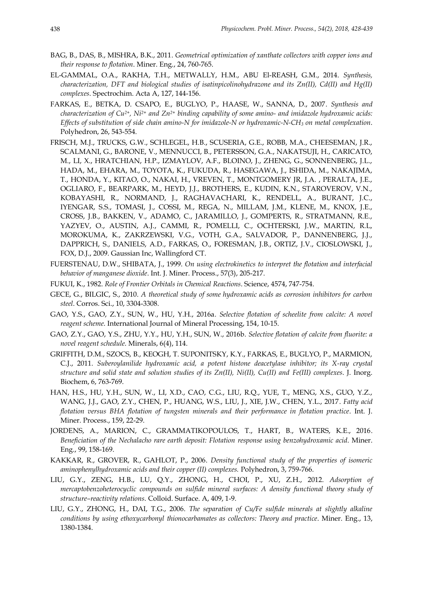- BAG, B., DAS, B., MISHRA, B.K., 2011. *Geometrical optimization of xanthate collectors with copper ions and their response to flotation*. Miner. Eng., 24, 760-765.
- EL-GAMMAL, O.A., RAKHA, T.H., METWALLY, H.M., ABU El-REASH, G.M., 2014. *Synthesis, characterization, DFT and biological studies of isatinpicolinohydrazone and its Zn(II), Cd(II) and Hg(II) complexes*. Spectrochim. Acta A, 127, 144-156.
- FARKAS, E., BETKA, D. CSAPO, E., BUGLYO, P., HAASE, W., SANNA, D., 2007. *Synthesis and characterization of Cu2+, Ni2+ and Zn2+ binding capability of some amino- and imidazole hydroxamic acids: Effects of substitution of side chain amino-N for imidazole-N or hydroxamic-N-CH<sup>3</sup> on metal complexation*. Polyhedron, 26, 543-554.
- FRISCH, M.J., TRUCKS, G.W., SCHLEGEL, H.B., SCUSERIA, G.E., ROBB, M.A., CHEESEMAN, J.R., SCALMANI, G., BARONE, V., MENNUCCI, B., PETERSSON, G.A., NAKATSUJI, H., CARICATO, M., LI, X., HRATCHIAN, H.P., IZMAYLOV, A.F., BLOINO, J., ZHENG, G., SONNENBERG, J.L., HADA, M., EHARA, M., TOYOTA, K., FUKUDA, R., HASEGAWA, J., ISHIDA, M., NAKAJIMA, T., HONDA, Y., KITAO, O., NAKAI, H., VREVEN, T., MONTGOMERY JR, J.A. , PERALTA, J.E., OGLIARO, F., BEARPARK, M., HEYD, J.J., BROTHERS, E., KUDIN, K.N., STAROVEROV, V.N., KOBAYASHI, R., NORMAND, J., RAGHAVACHARI, K., RENDELL, A., BURANT, J.C., IYENGAR, S.S., TOMASI, J., COSSI, M., REGA, N., MILLAM, J.M., KLENE, M., KNOX, J.E., CROSS, J.B., BAKKEN, V., ADAMO, C., JARAMILLO, J., GOMPERTS, R., STRATMANN, R.E., YAZYEV, O., AUSTIN, A.J., CAMMI, R., POMELLI, C., OCHTERSKI, J.W., MARTIN, R.L, MOROKUMA, K., ZAKRZEWSKI, V.G., VOTH, G.A., SALVADOR, P., DANNENBERG, J.J., DAPPRICH, S., DANIELS, A.D., FARKAS, O., FORESMAN, J.B., ORTIZ, J.V., CIOSLOWSKI, J., FOX, D.J., 2009. Gaussian Inc, Wallingford CT.
- FUERSTENAU, D.W., SHIBATA, J., 1999. *On using electrokinetics to interpret the flotation and interfacial behavior of manganese dioxide*. Int. J. Miner. Process., 57(3), 205-217.
- FUKUI, K., 1982. *Role of Frontier Orbitals in Chemical Reactions*. Science, 4574, 747-754.
- GECE, G., BILGIC, S., 2010. *A theoretical study of some hydroxamic acids as corrosion inhibitors for carbon steel*. Corros. Sci., 10, 3304-3308.
- GAO, Y.S., GAO, Z.Y., SUN, W., HU, Y.H., 2016a. *Selective flotation of scheelite from calcite: A novel reagent scheme*. International Journal of Mineral Processing, 154, 10-15.
- GAO, Z.Y., GAO, Y.S., ZHU, Y.Y., HU, Y.H., SUN, W., 2016b. *Selective flotation of calcite from fluorite: a novel reagent schedule*. Minerals, 6(4), 114.
- GRIFFITH, D.M., SZOCS, B., KEOGH, T. SUPONITSKY, K.Y., FARKAS, E., BUGLYO, P., MARMION, C.J., 2011. *Suberoylanilide hydroxamic acid, a potent histone deacetylase inhibitor; its X-ray crystal structure and solid state and solution studies of its Zn(II), Ni(II), Cu(II) and Fe(III) complexes*. J. Inorg. Biochem, 6, 763-769.
- HAN, H.S., HU, Y.H., SUN, W., LI, X.D., CAO, C.G., LIU, R.Q., YUE, T., MENG, X.S., GUO, Y.Z., WANG, J.J., GAO, Z.Y., CHEN, P., HUANG, W.S., LIU, J., XIE, J.W., CHEN, Y.L., 2017. *Fatty acid flotation versus BHA flotation of tungsten minerals and their performance in flotation practice*. Int. J. Miner. Process., 159, 22-29.
- JORDENS, A., MARION, C., GRAMMATIKOPOULOS, T., HART, B., WATERS, K.E., 2016. *Beneficiation of the Nechalacho rare earth deposit: Flotation response using benzohydroxamic acid*. Miner. Eng., 99, 158-169.
- KAKKAR, R., GROVER, R., GAHLOT, P., 2006. *Density functional study of the properties of isomeric aminophenylhydroxamic acids and their copper (II) complexes.* Polyhedron, 3, 759-766.
- LIU, G.Y., ZENG, H.B., LU, Q.Y., ZHONG, H., CHOI, P., XU, Z.H., 2012. *Adsorption of mercaptobenzoheterocyclic compounds on sulfide mineral surfaces: A density functional theory study of structure–reactivity relations*. Colloid. Surface. A, 409, 1-9.
- LIU, G.Y., ZHONG, H., DAI, T.G., 2006. *The separation of Cu/Fe sulfide minerals at slightly alkaline conditions by using ethoxycarbonyl thionocarbamates as collectors: Theory and practice*. Miner. Eng., 13, 1380-1384.